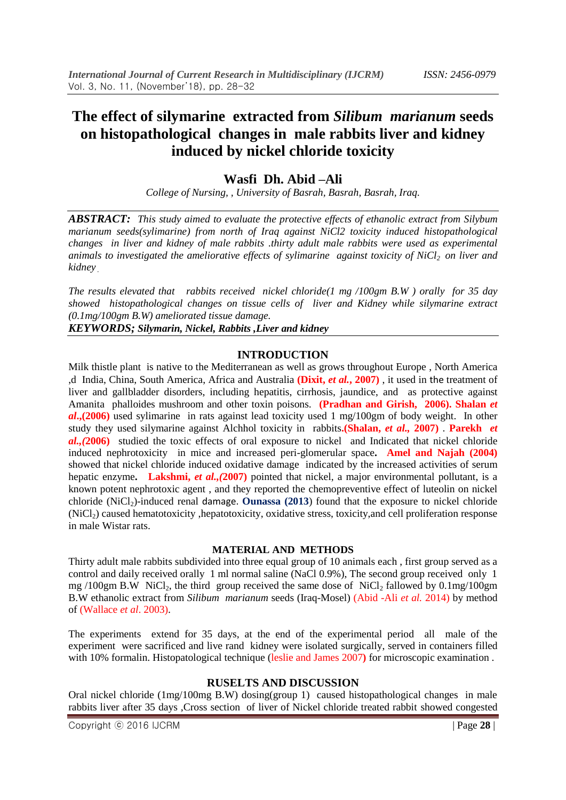# **The effect of silymarine extracted from** *Silibum marianum* **seeds on histopathological changes in male rabbits liver and kidney induced by nickel chloride toxicity**

### **Wasfi Dh. Abid –Ali**

*College of Nursing, , University of Basrah, Basrah, Basrah, Iraq.*

*ABSTRACT: This study aimed to evaluate the protective effects of ethanolic extract from Silybum marianum seeds(sylimarine) from north of Iraq against NiCl2 toxicity induced histopathological changes in liver and kidney of male rabbits .thirty adult male rabbits were used as experimental animals to investigated the ameliorative effects of sylimarine against toxicity of NiCl2 on liver and kidney .* 

*The results elevated that rabbits received nickel chloride(1 mg /100gm B.W ) orally for 35 day showed histopathological changes on tissue cells of liver and Kidney while silymarine extract (0.1mg/100gm B.W) ameliorated tissue damage.*

*KEYWORDS; Silymarin, Nickel, Rabbits ,Liver and kidney*

#### **INTRODUCTION**

Milk thistle plant is native to the Mediterranean as well as grows throughout Europe , North America ,d India, China, South America, Africa and Australia **(Dixit,** *et al.***, 2007)** , it used in the treatment of liver and gallbladder disorders, including hepatitis, cirrhosis, jaundice, and as protective against Amanita phalloides mushroom and other toxin poisons. **(Pradhan and Girish, 2006). Shalan** *et al***.,(2006)** used sylimarine in rats against lead toxicity used 1 mg/100gm of body weight. In other study they used silymarine against Alchhol toxicity in rabbits**.(Shalan,** *et al.,* **2007)** . **Parekh** *et al.,(***2006)** studied the toxic effects of oral exposure to nickel and Indicated that nickel chloride induced nephrotoxicity in mice and increased peri-glomerular space**. Amel and Najah (2004)** showed that nickel chloride induced oxidative damage indicated by the increased activities of serum hepatic enzyme**. Lakshmi,** *et al.,(***2007)** pointed that nickel, a major environmental pollutant, is a known potent nephrotoxic agent , and they reported the chemopreventive effect of luteolin on nickel chloride (NiCl<sub>2</sub>)-induced renal damage. **Ounassa** (2013) found that the exposure to nickel chloride  $(NiCl<sub>2</sub>)$  caused hematotoxicity, hepatotoxicity, oxidative stress, toxicity, and cell proliferation response in male Wistar rats.

#### **MATERIAL AND METHODS**

Thirty adult male rabbits subdivided into three equal group of 10 animals each , first group served as a control and daily received orally 1 ml normal saline (NaCl 0.9%), The second group received only 1 mg /100gm B.W NiCl<sub>2</sub>, the third group received the same dose of NiCl<sub>2</sub> fallowed by  $0.1 \text{mg}/100 \text{gm}$ B.W ethanolic extract from *Silibum marianum* seeds (Iraq-Mosel) (Abid -Ali *et al.* 2014) by method of (Wallace *et al*. 2003).

The experiments extend for 35 days, at the end of the experimental period all male of the experiment were sacrificed and live rand kidney were isolated surgically, served in containers filled with 10% formalin. Histopatological technique (leslie and James 2007) for microscopic examination .

#### **RUSELTS AND DISCUSSION**

Oral nickel chloride (1mg/100mg B.W) dosing(group 1) caused histopathological changes in male rabbits liver after 35 days ,Cross section of liver of Nickel chloride treated rabbit showed congested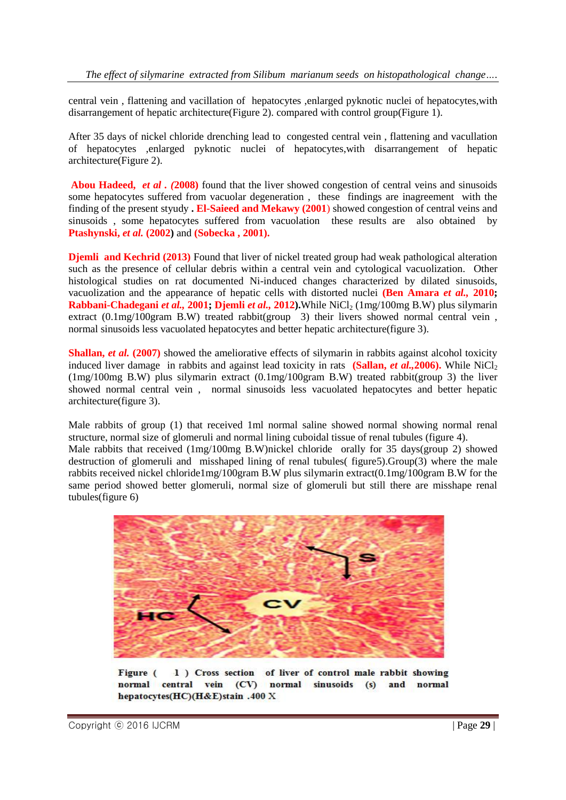central vein , flattening and vacillation of hepatocytes ,enlarged pyknotic nuclei of hepatocytes,with disarrangement of hepatic architecture(Figure 2). compared with control group(Figure 1).

After 35 days of nickel chloride drenching lead to congested central vein , flattening and vacullation of hepatocytes ,enlarged pyknotic nuclei of hepatocytes,with disarrangement of hepatic architecture(Figure 2).

**Abou Hadeed,** *et al . (***2008)** found that the liver showed congestion of central veins and sinusoids some hepatocytes suffered from vacuolar degeneration , these findings are inagreement with the finding of the present styudy **. El-Saieed and Mekawy (2001**) showed congestion of central veins and sinusoids , some hepatocytes suffered from vacuolation these results are also obtained by **Ptashynski,** *et al.* **(2002)** and **(Sobecka , 2001).**

**Djemli and Kechrid (2013)** Found that liver of nickel treated group had weak pathological alteration such as the presence of cellular debris within a central vein and cytological vacuolization. Other histological studies on rat documented Ni-induced changes characterized by dilated sinusoids, vacuolization and the appearance of hepatic cells with distorted nuclei **(Ben Amara** *et al.,* **2010; Rabbani-Chadegani** *et al.***, 2001; Djemli** *et al.***, 2012).While NiCl<sub>2</sub> (1mg/100mg B.W) plus silymarin** extract (0.1mg/100gram B.W) treated rabbit(group 3) their livers showed normal central vein, normal sinusoids less vacuolated hepatocytes and better hepatic architecture(figure 3).

**Shallan,** *et al.* (2007) showed the ameliorative effects of silymarin in rabbits against alcohol toxicity induced liver damage in rabbits and against lead toxicity in rats **(Sallan,** *et al.***, 2006).** While NiCl<sub>2</sub> (1mg/100mg B.W) plus silymarin extract (0.1mg/100gram B.W) treated rabbit(group 3) the liver showed normal central vein , normal sinusoids less vacuolated hepatocytes and better hepatic architecture(figure 3).

Male rabbits of group (1) that received 1ml normal saline showed normal showing normal renal structure, normal size of glomeruli and normal lining cuboidal tissue of renal tubules (figure 4). Male rabbits that received (1mg/100mg B.W)nickel chloride orally for 35 days(group 2) showed destruction of glomeruli and misshaped lining of renal tubules( figure5).Group(3) where the male rabbits received nickel chloride1mg/100gram B.W plus silymarin extract(0.1mg/100gram B.W for the same period showed better glomeruli, normal size of glomeruli but still there are misshape renal tubules(figure 6)



Figure ( 1) Cross section of liver of control male rabbit showing normal central vein (CV) normal sinusoids (s) and normal hepatocytes(HC)(H&E)stain .400 X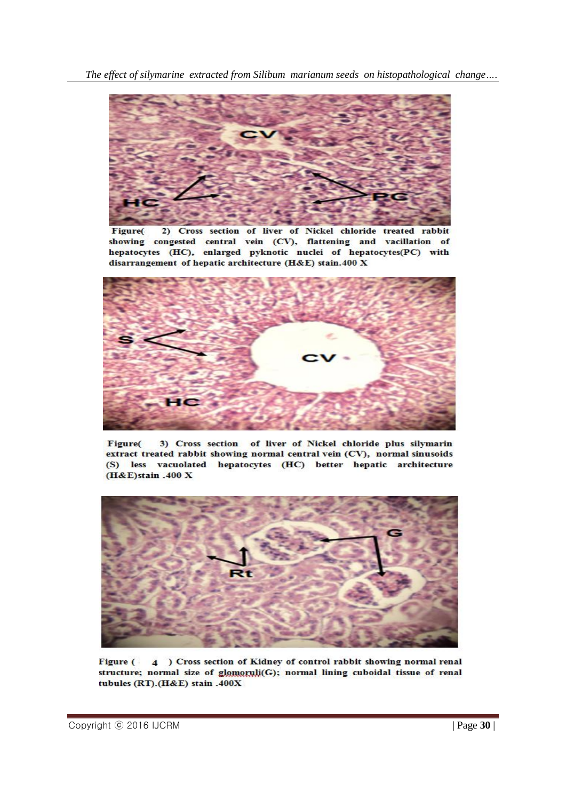

2) Cross section of liver of Nickel chloride treated rabbit Figure( showing congested central vein (CV), flattening and vacillation of hepatocytes (HC), enlarged pyknotic nuclei of hepatocytes(PC) with disarrangement of hepatic architecture (H&E) stain.400 X



3) Cross section of liver of Nickel chloride plus silymarin Figure( extract treated rabbit showing normal central vein (CV), normal sinusoids (S) less vacuolated hepatocytes (HC) better hepatic architecture  $(H&E)$ stain .400 X



4 ) Cross section of Kidney of control rabbit showing normal renal Figure ( structure; normal size of glomoruli(G); normal lining cuboidal tissue of renal tubules (RT).(H&E) stain .400X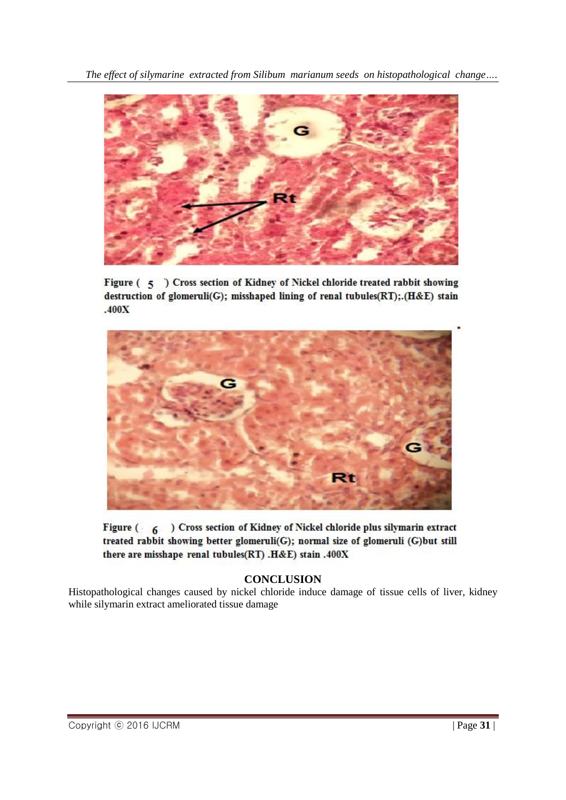

Figure (5) Cross section of Kidney of Nickel chloride treated rabbit showing destruction of glomeruli(G); misshaped lining of renal tubules(RT); (H&E) stain  $.400X$ 



Figure (6) Cross section of Kidney of Nickel chloride plus silymarin extract treated rabbit showing better glomeruli(G); normal size of glomeruli (G)but still there are misshape renal tubules(RT) .H&E) stain .400X

## **CONCLUSION**

Histopathological changes caused by nickel chloride induce damage of tissue cells of liver, kidney while silymarin extract ameliorated tissue damage